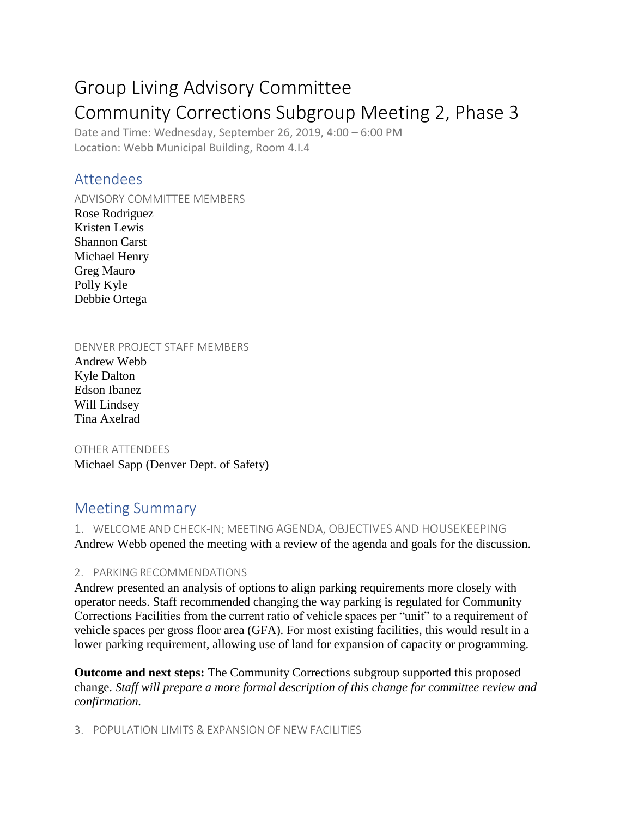# Group Living Advisory Committee Community Corrections Subgroup Meeting 2, Phase 3

Date and Time: Wednesday, September 26, 2019, 4:00 – 6:00 PM Location: Webb Municipal Building, Room 4.I.4

## Attendees

ADVISORY COMMITTEE MEMBERS Rose Rodriguez Kristen Lewis Shannon Carst Michael Henry Greg Mauro Polly Kyle Debbie Ortega

DENVER PROJECT STAFF MEMBERS

Andrew Webb Kyle Dalton Edson Ibanez Will Lindsey Tina Axelrad

OTHER ATTENDEES Michael Sapp (Denver Dept. of Safety)

# Meeting Summary

1. WELCOME AND CHECK-IN; MEETING AGENDA, OBJECTIVES AND HOUSEKEEPING Andrew Webb opened the meeting with a review of the agenda and goals for the discussion.

2. PARKING RECOMMENDATIONS

Andrew presented an analysis of options to align parking requirements more closely with operator needs. Staff recommended changing the way parking is regulated for Community Corrections Facilities from the current ratio of vehicle spaces per "unit" to a requirement of vehicle spaces per gross floor area (GFA). For most existing facilities, this would result in a lower parking requirement, allowing use of land for expansion of capacity or programming.

**Outcome and next steps:** The Community Corrections subgroup supported this proposed change. *Staff will prepare a more formal description of this change for committee review and confirmation.* 

3. POPULATION LIMITS & EXPANSION OF NEW FACILITIES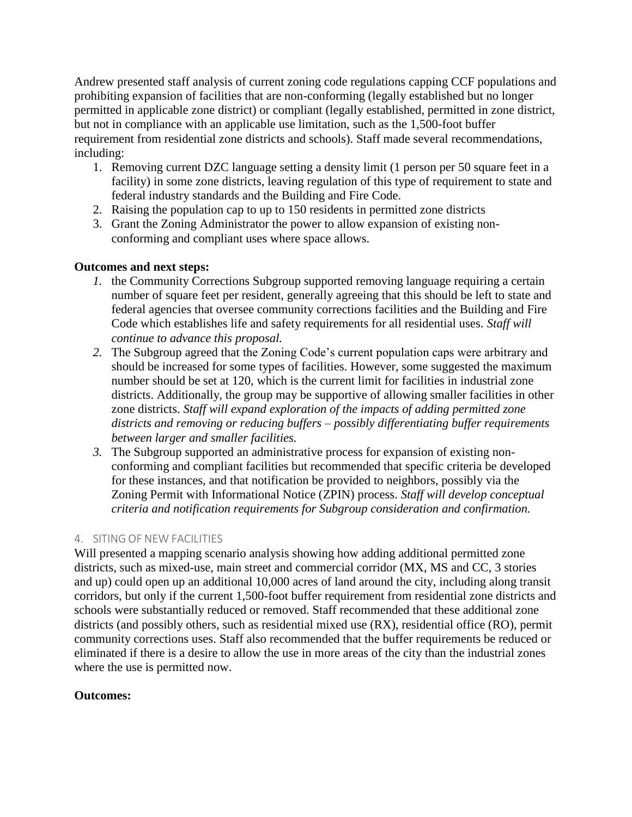Andrew presented staff analysis of current zoning code regulations capping CCF populations and prohibiting expansion of facilities that are non-conforming (legally established but no longer permitted in applicable zone district) or compliant (legally established, permitted in zone district, but not in compliance with an applicable use limitation, such as the 1,500-foot buffer requirement from residential zone districts and schools). Staff made several recommendations, including:

- 1. Removing current DZC language setting a density limit (1 person per 50 square feet in a facility) in some zone districts, leaving regulation of this type of requirement to state and federal industry standards and the Building and Fire Code.
- 2. Raising the population cap to up to 150 residents in permitted zone districts
- 3. Grant the Zoning Administrator the power to allow expansion of existing nonconforming and compliant uses where space allows.

#### **Outcomes and next steps:**

- *1.* the Community Corrections Subgroup supported removing language requiring a certain number of square feet per resident, generally agreeing that this should be left to state and federal agencies that oversee community corrections facilities and the Building and Fire Code which establishes life and safety requirements for all residential uses. *Staff will continue to advance this proposal.*
- *2.* The Subgroup agreed that the Zoning Code's current population caps were arbitrary and should be increased for some types of facilities. However, some suggested the maximum number should be set at 120, which is the current limit for facilities in industrial zone districts. Additionally, the group may be supportive of allowing smaller facilities in other zone districts. *Staff will expand exploration of the impacts of adding permitted zone districts and removing or reducing buffers – possibly differentiating buffer requirements between larger and smaller facilities.*
- *3.* The Subgroup supported an administrative process for expansion of existing nonconforming and compliant facilities but recommended that specific criteria be developed for these instances, and that notification be provided to neighbors, possibly via the Zoning Permit with Informational Notice (ZPIN) process. *Staff will develop conceptual criteria and notification requirements for Subgroup consideration and confirmation.*

#### 4. SITING OF NEW FACILITIES

Will presented a mapping scenario analysis showing how adding additional permitted zone districts, such as mixed-use, main street and commercial corridor (MX, MS and CC, 3 stories and up) could open up an additional 10,000 acres of land around the city, including along transit corridors, but only if the current 1,500-foot buffer requirement from residential zone districts and schools were substantially reduced or removed. Staff recommended that these additional zone districts (and possibly others, such as residential mixed use (RX), residential office (RO), permit community corrections uses. Staff also recommended that the buffer requirements be reduced or eliminated if there is a desire to allow the use in more areas of the city than the industrial zones where the use is permitted now.

#### **Outcomes:**